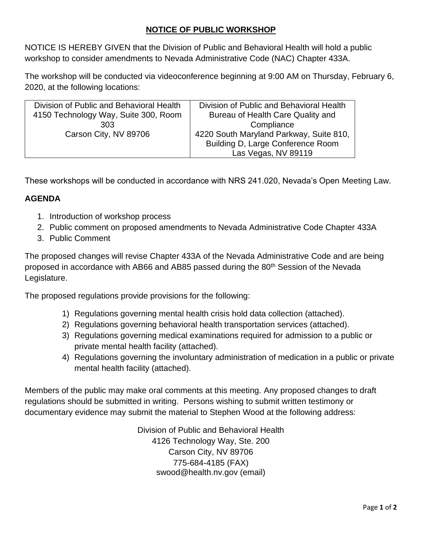# **NOTICE OF PUBLIC WORKSHOP**

NOTICE IS HEREBY GIVEN that the Division of Public and Behavioral Health will hold a public workshop to consider amendments to Nevada Administrative Code (NAC) Chapter 433A.

The workshop will be conducted via videoconference beginning at 9:00 AM on Thursday, February 6, 2020, at the following locations:

| Division of Public and Behavioral Health | Division of Public and Behavioral Health |  |  |
|------------------------------------------|------------------------------------------|--|--|
| 4150 Technology Way, Suite 300, Room     | Bureau of Health Care Quality and        |  |  |
| 303                                      | Compliance                               |  |  |
| Carson City, NV 89706                    | 4220 South Maryland Parkway, Suite 810,  |  |  |
|                                          | Building D, Large Conference Room        |  |  |
|                                          | Las Vegas, NV 89119                      |  |  |
|                                          |                                          |  |  |

These workshops will be conducted in accordance with NRS 241.020, Nevada's Open Meeting Law.

## **AGENDA**

- 1. Introduction of workshop process
- 2. Public comment on proposed amendments to Nevada Administrative Code Chapter 433A
- 3. Public Comment

The proposed changes will revise Chapter 433A of the Nevada Administrative Code and are being proposed in accordance with AB66 and AB85 passed during the 80<sup>th</sup> Session of the Nevada Legislature.

The proposed regulations provide provisions for the following:

- 1) Regulations governing mental health crisis hold data collection (attached).
- 2) Regulations governing behavioral health transportation services (attached).
- 3) Regulations governing medical examinations required for admission to a public or private mental health facility (attached).
- 4) Regulations governing the involuntary administration of medication in a public or private mental health facility (attached).

Members of the public may make oral comments at this meeting. Any proposed changes to draft regulations should be submitted in writing. Persons wishing to submit written testimony or documentary evidence may submit the material to Stephen Wood at the following address:

> Division of Public and Behavioral Health 4126 Technology Way, Ste. 200 Carson City, NV 89706 775-684-4185 (FAX) swood@health.nv.gov (email)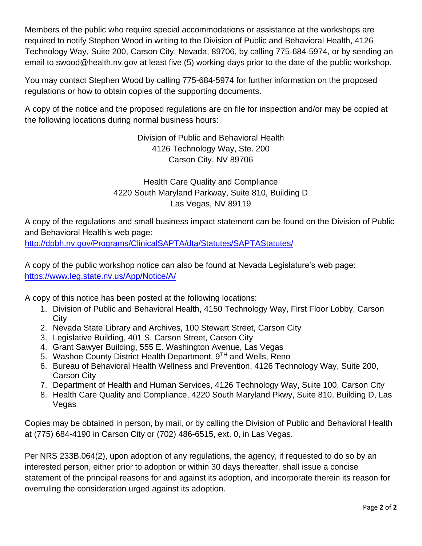Members of the public who require special accommodations or assistance at the workshops are required to notify Stephen Wood in writing to the Division of Public and Behavioral Health, 4126 Technology Way, Suite 200, Carson City, Nevada, 89706, by calling 775-684-5974, or by sending an email to swood@health.nv.gov at least five (5) working days prior to the date of the public workshop.

You may contact Stephen Wood by calling 775-684-5974 for further information on the proposed regulations or how to obtain copies of the supporting documents.

A copy of the notice and the proposed regulations are on file for inspection and/or may be copied at the following locations during normal business hours:

> Division of Public and Behavioral Health 4126 Technology Way, Ste. 200 Carson City, NV 89706

Health Care Quality and Compliance 4220 South Maryland Parkway, Suite 810, Building D Las Vegas, NV 89119

A copy of the regulations and small business impact statement can be found on the Division of Public and Behavioral Health's web page:

<http://dpbh.nv.gov/Programs/ClinicalSAPTA/dta/Statutes/SAPTAStatutes/>

A copy of the public workshop notice can also be found at Nevada Legislature's web page: <https://www.leg.state.nv.us/App/Notice/A/>

A copy of this notice has been posted at the following locations:

- 1. Division of Public and Behavioral Health, 4150 Technology Way, First Floor Lobby, Carson **City**
- 2. Nevada State Library and Archives, 100 Stewart Street, Carson City
- 3. Legislative Building, 401 S. Carson Street, Carson City
- 4. Grant Sawyer Building, 555 E. Washington Avenue, Las Vegas
- 5. Washoe County District Health Department, 9<sup>TH</sup> and Wells, Reno
- 6. Bureau of Behavioral Health Wellness and Prevention, 4126 Technology Way, Suite 200, Carson City
- 7. Department of Health and Human Services, 4126 Technology Way, Suite 100, Carson City
- 8. Health Care Quality and Compliance, 4220 South Maryland Pkwy, Suite 810, Building D, Las Vegas

Copies may be obtained in person, by mail, or by calling the Division of Public and Behavioral Health at (775) 684-4190 in Carson City or (702) 486-6515, ext. 0, in Las Vegas.

Per NRS 233B.064(2), upon adoption of any regulations, the agency, if requested to do so by an interested person, either prior to adoption or within 30 days thereafter, shall issue a concise statement of the principal reasons for and against its adoption, and incorporate therein its reason for overruling the consideration urged against its adoption.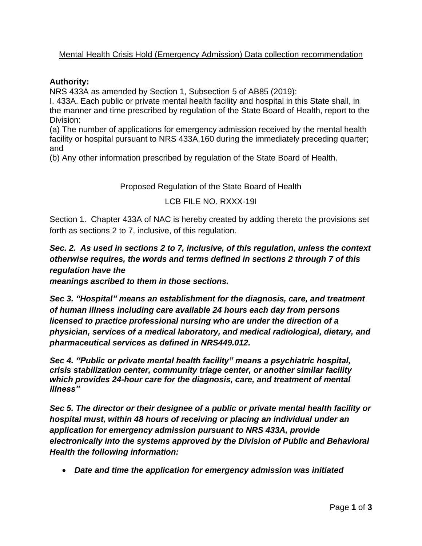## Mental Health Crisis Hold (Emergency Admission) Data collection recommendation

#### **Authority:**

NRS 433A as amended by Section 1, Subsection 5 of AB85 (2019):

I. 433A. Each public or private mental health facility and hospital in this State shall, in the manner and time prescribed by regulation of the State Board of Health, report to the Division:

(a) The number of applications for emergency admission received by the mental health facility or hospital pursuant to NRS 433A.160 during the immediately preceding quarter; and

(b) Any other information prescribed by regulation of the State Board of Health.

Proposed Regulation of the State Board of Health

#### LCB FILE NO. RXXX-19I

Section 1. Chapter 433A of NAC is hereby created by adding thereto the provisions set forth as sections 2 to 7, inclusive, of this regulation.

# *Sec. 2. As used in sections 2 to 7, inclusive, of this regulation, unless the context otherwise requires, the words and terms defined in sections 2 through 7 of this regulation have the*

*meanings ascribed to them in those sections.*

*Sec 3. "Hospital" means an establishment for the diagnosis, care, and treatment of human illness including care available 24 hours each day from persons licensed to practice professional nursing who are under the direction of a physician, services of a medical laboratory, and medical radiological, dietary, and pharmaceutical services as defined in NRS449.012.*

*Sec 4. "Public or private mental health facility" means a psychiatric hospital, crisis stabilization center, community triage center, or another similar facility which provides 24-hour care for the diagnosis, care, and treatment of mental illness"*

*Sec 5. The director or their designee of a public or private mental health facility or hospital must, within 48 hours of receiving or placing an individual under an application for emergency admission pursuant to NRS 433A, provide electronically into the systems approved by the Division of Public and Behavioral Health the following information:*

• *Date and time the application for emergency admission was initiated*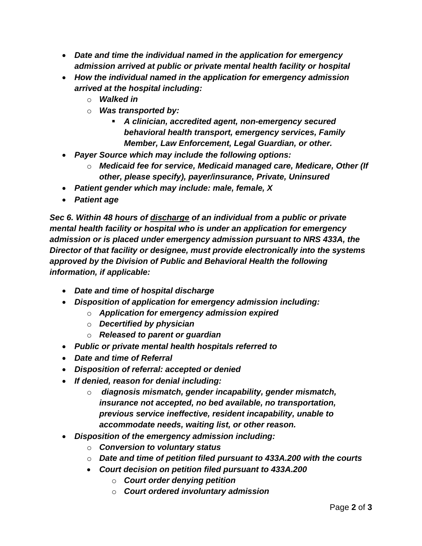- *Date and time the individual named in the application for emergency admission arrived at public or private mental health facility or hospital*
- *How the individual named in the application for emergency admission arrived at the hospital including:*
	- o *Walked in*
	- o *Was transported by:* 
		- *A clinician, accredited agent, non-emergency secured behavioral health transport, emergency services, Family Member, Law Enforcement, Legal Guardian, or other.*
- *Payer Source which may include the following options:* 
	- o *Medicaid fee for service, Medicaid managed care, Medicare, Other (If other, please specify), payer/insurance, Private, Uninsured*
- *Patient gender which may include: male, female, X*
- *Patient age*

*Sec 6. Within 48 hours of discharge of an individual from a public or private mental health facility or hospital who is under an application for emergency admission or is placed under emergency admission pursuant to NRS 433A, the Director of that facility or designee, must provide electronically into the systems approved by the Division of Public and Behavioral Health the following information, if applicable:*

- *Date and time of hospital discharge*
- *Disposition of application for emergency admission including:*
	- o *Application for emergency admission expired*
	- o *Decertified by physician*
	- o *Released to parent or guardian*
- *Public or private mental health hospitals referred to*
- *Date and time of Referral*
- *Disposition of referral: accepted or denied*
- *If denied, reason for denial including:*
	- o *diagnosis mismatch, gender incapability, gender mismatch, insurance not accepted, no bed available, no transportation, previous service ineffective, resident incapability, unable to accommodate needs, waiting list, or other reason.*
- *Disposition of the emergency admission including:*
	- o *Conversion to voluntary status*
	- o *Date and time of petition filed pursuant to 433A.200 with the courts*
	- *Court decision on petition filed pursuant to 433A.200*
		- o *Court order denying petition*
		- o *Court ordered involuntary admission*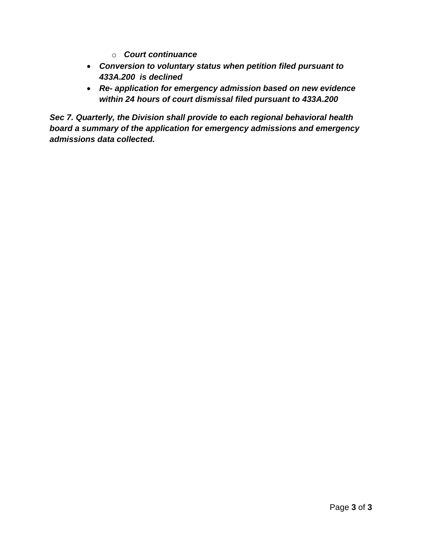- o *Court continuance*
- *Conversion to voluntary status when petition filed pursuant to 433A.200 is declined*
- *Re- application for emergency admission based on new evidence within 24 hours of court dismissal filed pursuant to 433A.200*

*Sec 7. Quarterly, the Division shall provide to each regional behavioral health board a summary of the application for emergency admissions and emergency admissions data collected.*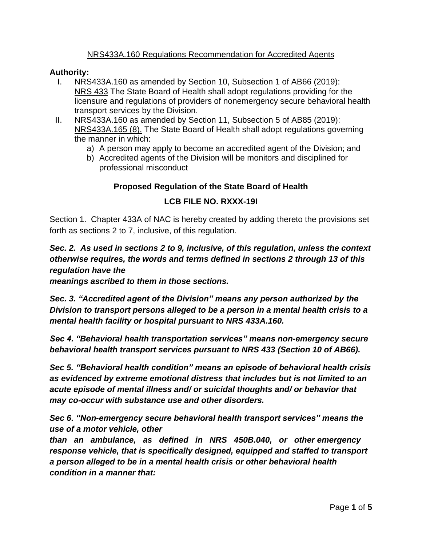### NRS433A.160 Regulations Recommendation for Accredited Agents

### **Authority:**

- I. NRS433A.160 as amended by Section 10, Subsection 1 of AB66 (2019): NRS 433 The State Board of Health shall adopt regulations providing for the licensure and regulations of providers of nonemergency secure behavioral health transport services by the Division.
- II. NRS433A.160 as amended by Section 11, Subsection 5 of AB85 (2019): NRS433A.165 (8). The State Board of Health shall adopt regulations governing the manner in which:
	- a) A person may apply to become an accredited agent of the Division; and
	- b) Accredited agents of the Division will be monitors and disciplined for professional misconduct

## **Proposed Regulation of the State Board of Health**

### **LCB FILE NO. RXXX-19I**

Section 1. Chapter 433A of NAC is hereby created by adding thereto the provisions set forth as sections 2 to 7, inclusive, of this regulation.

*Sec. 2. As used in sections 2 to 9, inclusive, of this regulation, unless the context otherwise requires, the words and terms defined in sections 2 through 13 of this regulation have the* 

*meanings ascribed to them in those sections.*

*Sec. 3. "Accredited agent of the Division" means any person authorized by the Division to transport persons alleged to be a person in a mental health crisis to a mental health facility or hospital pursuant to NRS 433A.160.*

*Sec 4. "Behavioral health transportation services" means non-emergency secure behavioral health transport services pursuant to NRS 433 (Section 10 of AB66).* 

*Sec 5. "Behavioral health condition" means an episode of behavioral health crisis as evidenced by extreme emotional distress that includes but is not limited to an acute episode of mental illness and/ or suicidal thoughts and/ or behavior that may co-occur with substance use and other disorders.*

*Sec 6. "Non-emergency secure behavioral health transport services" means the use of a motor vehicle, other* 

*than an ambulance, as defined in NRS 450B.040, or other emergency response vehicle, that is specifically designed, equipped and staffed to transport a person alleged to be in a mental health crisis or other behavioral health condition in a manner that:*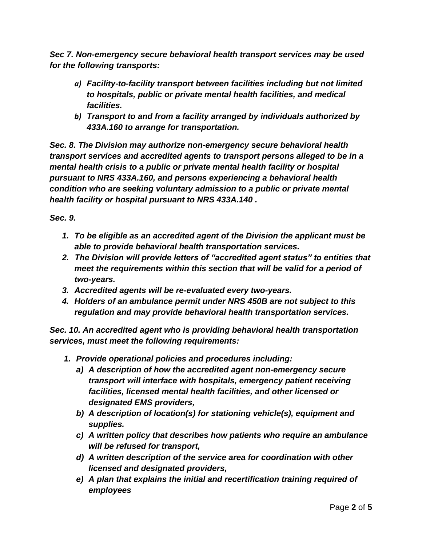*Sec 7. Non-emergency secure behavioral health transport services may be used for the following transports:* 

- *a) Facility-to-facility transport between facilities including but not limited to hospitals, public or private mental health facilities, and medical facilities.*
- *b) Transport to and from a facility arranged by individuals authorized by 433A.160 to arrange for transportation.*

*Sec. 8. The Division may authorize non-emergency secure behavioral health transport services and accredited agents to transport persons alleged to be in a mental health crisis to a public or private mental health facility or hospital pursuant to NRS 433A.160, and persons experiencing a behavioral health condition who are seeking voluntary admission to a public or private mental health facility or hospital pursuant to NRS 433A.140 .*

*Sec. 9.* 

- *1. To be eligible as an accredited agent of the Division the applicant must be able to provide behavioral health transportation services.*
- *2. The Division will provide letters of "accredited agent status" to entities that meet the requirements within this section that will be valid for a period of two-years.*
- *3. Accredited agents will be re-evaluated every two-years.*
- *4. Holders of an ambulance permit under NRS 450B are not subject to this regulation and may provide behavioral health transportation services.*

*Sec. 10. An accredited agent who is providing behavioral health transportation services, must meet the following requirements:* 

- *1. Provide operational policies and procedures including:*
	- *a) A description of how the accredited agent non-emergency secure transport will interface with hospitals, emergency patient receiving facilities, licensed mental health facilities, and other licensed or designated EMS providers,*
	- *b) A description of location(s) for stationing vehicle(s), equipment and supplies.*
	- *c) A written policy that describes how patients who require an ambulance will be refused for transport,*
	- *d) A written description of the service area for coordination with other licensed and designated providers,*
	- *e) A plan that explains the initial and recertification training required of employees*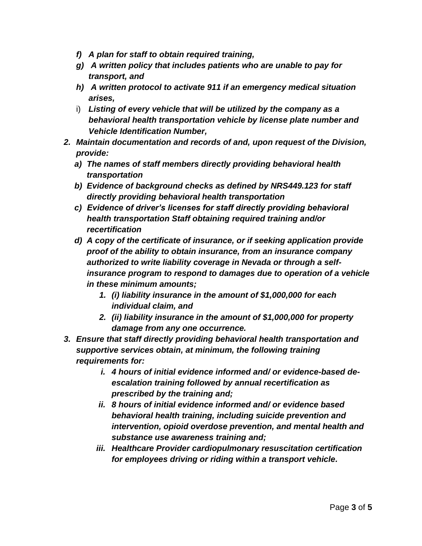- *f) A plan for staff to obtain required training,*
- *g) A written policy that includes patients who are unable to pay for transport, and*
- *h) A written protocol to activate 911 if an emergency medical situation arises,*
- i) *Listing of every vehicle that will be utilized by the company as a behavioral health transportation vehicle by license plate number and Vehicle Identification Number,*
- *2. Maintain documentation and records of and, upon request of the Division, provide:*
	- *a) The names of staff members directly providing behavioral health transportation*
	- *b) Evidence of background checks as defined by NRS449.123 for staff directly providing behavioral health transportation*
	- *c) Evidence of driver's licenses for staff directly providing behavioral health transportation Staff obtaining required training and/or recertification*
	- *d) A copy of the certificate of insurance, or if seeking application provide proof of the ability to obtain insurance, from an insurance company authorized to write liability coverage in Nevada or through a selfinsurance program to respond to damages due to operation of a vehicle in these minimum amounts;* 
		- *1. (i) liability insurance in the amount of \$1,000,000 for each individual claim, and*
		- *2. (ii) liability insurance in the amount of \$1,000,000 for property damage from any one occurrence.*
- *3. Ensure that staff directly providing behavioral health transportation and supportive services obtain, at minimum, the following training requirements for:* 
	- *i. 4 hours of initial evidence informed and/ or evidence-based deescalation training followed by annual recertification as prescribed by the training and;*
	- *ii. 8 hours of initial evidence informed and/ or evidence based behavioral health training, including suicide prevention and intervention, opioid overdose prevention, and mental health and substance use awareness training and;*
	- *iii. Healthcare Provider cardiopulmonary resuscitation certification for employees driving or riding within a transport vehicle.*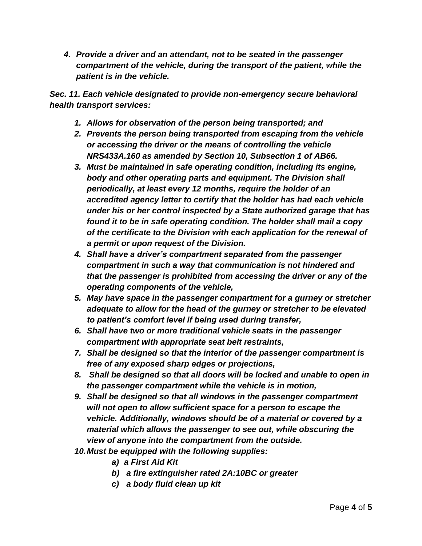*4. Provide a driver and an attendant, not to be seated in the passenger compartment of the vehicle, during the transport of the patient, while the patient is in the vehicle.*

*Sec. 11. Each vehicle designated to provide non-emergency secure behavioral health transport services:* 

- *1. Allows for observation of the person being transported; and*
- *2. Prevents the person being transported from escaping from the vehicle or accessing the driver or the means of controlling the vehicle NRS433A.160 as amended by Section 10, Subsection 1 of AB66.*
- *3. Must be maintained in safe operating condition, including its engine, body and other operating parts and equipment. The Division shall periodically, at least every 12 months, require the holder of an accredited agency letter to certify that the holder has had each vehicle under his or her control inspected by a State authorized garage that has found it to be in safe operating condition. The holder shall mail a copy of the certificate to the Division with each application for the renewal of a permit or upon request of the Division.*
- *4. Shall have a driver's compartment separated from the passenger compartment in such a way that communication is not hindered and that the passenger is prohibited from accessing the driver or any of the operating components of the vehicle,*
- *5. May have space in the passenger compartment for a gurney or stretcher adequate to allow for the head of the gurney or stretcher to be elevated to patient's comfort level if being used during transfer,*
- *6. Shall have two or more traditional vehicle seats in the passenger compartment with appropriate seat belt restraints,*
- *7. Shall be designed so that the interior of the passenger compartment is free of any exposed sharp edges or projections,*
- *8. Shall be designed so that all doors will be locked and unable to open in the passenger compartment while the vehicle is in motion,*
- *9. Shall be designed so that all windows in the passenger compartment will not open to allow sufficient space for a person to escape the vehicle. Additionally, windows should be of a material or covered by a material which allows the passenger to see out, while obscuring the view of anyone into the compartment from the outside.*
- *10.Must be equipped with the following supplies:*
	- *a) a First Aid Kit*
	- *b) a fire extinguisher rated 2A:10BC or greater*
	- *c) a body fluid clean up kit*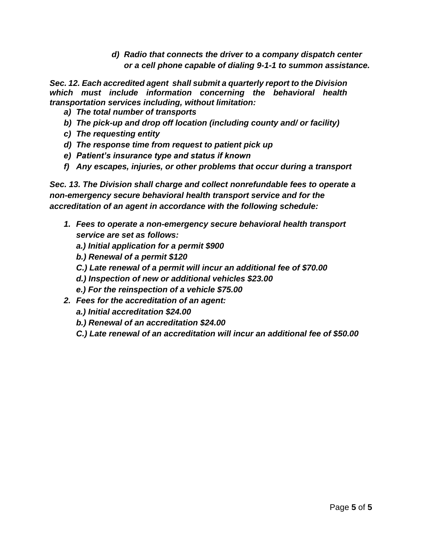*d) Radio that connects the driver to a company dispatch center or a cell phone capable of dialing 9-1-1 to summon assistance.* 

*Sec. 12. Each accredited agent shall submit a quarterly report to the Division which must include information concerning the behavioral health transportation services including, without limitation:* 

- *a) The total number of transports*
- *b) The pick-up and drop off location (including county and/ or facility)*
- *c) The requesting entity*
- *d) The response time from request to patient pick up*
- *e) Patient's insurance type and status if known*
- *f) Any escapes, injuries, or other problems that occur during a transport*

*Sec. 13. The Division shall charge and collect nonrefundable fees to operate a non-emergency secure behavioral health transport service and for the accreditation of an agent in accordance with the following schedule:* 

- *1. Fees to operate a non-emergency secure behavioral health transport service are set as follows:*
	- *a.) Initial application for a permit \$900*
	- *b.) Renewal of a permit \$120*
	- *C.) Late renewal of a permit will incur an additional fee of \$70.00*
	- *d.) Inspection of new or additional vehicles \$23.00*
	- *e.) For the reinspection of a vehicle \$75.00*
- *2. Fees for the accreditation of an agent:*
	- *a.) Initial accreditation \$24.00*
	- *b.) Renewal of an accreditation \$24.00*
	- *C.) Late renewal of an accreditation will incur an additional fee of \$50.00*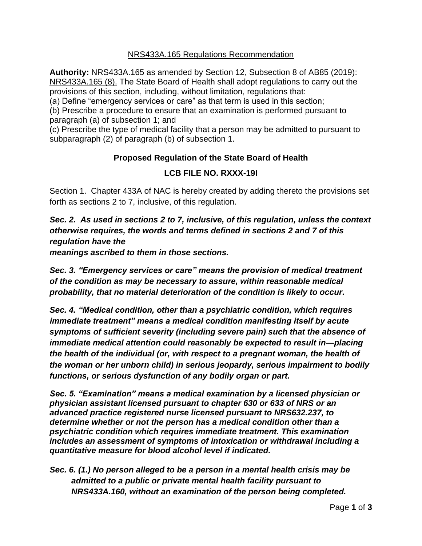### NRS433A.165 Regulations Recommendation

**Authority:** NRS433A.165 as amended by Section 12, Subsection 8 of AB85 (2019): NRS433A.165 (8). The State Board of Health shall adopt regulations to carry out the provisions of this section, including, without limitation, regulations that:

(a) Define "emergency services or care" as that term is used in this section;

(b) Prescribe a procedure to ensure that an examination is performed pursuant to paragraph (a) of subsection 1; and

(c) Prescribe the type of medical facility that a person may be admitted to pursuant to subparagraph (2) of paragraph (b) of subsection 1.

# **Proposed Regulation of the State Board of Health**

### **LCB FILE NO. RXXX-19I**

Section 1. Chapter 433A of NAC is hereby created by adding thereto the provisions set forth as sections 2 to 7, inclusive, of this regulation.

*Sec. 2. As used in sections 2 to 7, inclusive, of this regulation, unless the context otherwise requires, the words and terms defined in sections 2 and 7 of this regulation have the* 

*meanings ascribed to them in those sections.*

*Sec. 3. "Emergency services or care" means the provision of medical treatment of the condition as may be necessary to assure, within reasonable medical probability, that no material deterioration of the condition is likely to occur.*

*Sec. 4. "Medical condition, other than a psychiatric condition, which requires immediate treatment" means a medical condition manifesting itself by acute symptoms of sufficient severity (including severe pain) such that the absence of immediate medical attention could reasonably be expected to result in—placing the health of the individual (or, with respect to a pregnant woman, the health of the woman or her unborn child) in serious jeopardy, serious impairment to bodily functions, or serious dysfunction of any bodily organ or part.*

*Sec. 5. "Examination" means a medical examination by a licensed physician or physician assistant licensed pursuant to chapter 630 or 633 of NRS or an advanced practice registered nurse licensed pursuant to NRS632.237, to determine whether or not the person has a medical condition other than a psychiatric condition which requires immediate treatment. This examination includes an assessment of symptoms of intoxication or withdrawal including a quantitative measure for blood alcohol level if indicated.* 

*Sec. 6. (1.) No person alleged to be a person in a mental health crisis may be admitted to a public or private mental health facility pursuant to NRS433A.160, without an examination of the person being completed.*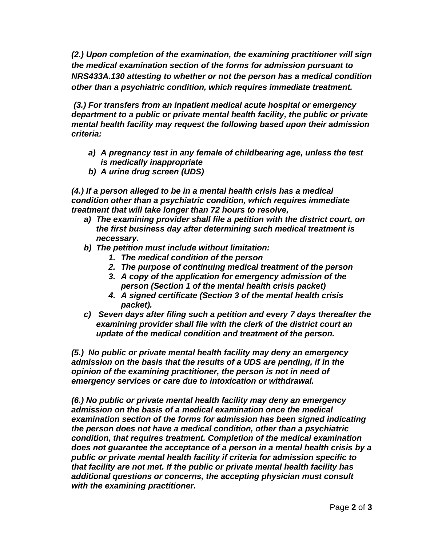*(2.) Upon completion of the examination, the examining practitioner will sign the medical examination section of the forms for admission pursuant to NRS433A.130 attesting to whether or not the person has a medical condition other than a psychiatric condition, which requires immediate treatment.*

*(3.) For transfers from an inpatient medical acute hospital or emergency department to a public or private mental health facility, the public or private mental health facility may request the following based upon their admission criteria:* 

- *a) A pregnancy test in any female of childbearing age, unless the test is medically inappropriate*
- *b) A urine drug screen (UDS)*

*(4.) If a person alleged to be in a mental health crisis has a medical condition other than a psychiatric condition, which requires immediate treatment that will take longer than 72 hours to resolve,*

- *a) The examining provider shall file a petition with the district court, on the first business day after determining such medical treatment is necessary.*
- *b) The petition must include without limitation:*
	- *1. The medical condition of the person*
	- *2. The purpose of continuing medical treatment of the person*
	- *3. A copy of the application for emergency admission of the person (Section 1 of the mental health crisis packet)*
	- *4. A signed certificate (Section 3 of the mental health crisis packet).*
- *c) Seven days after filing such a petition and every 7 days thereafter the examining provider shall file with the clerk of the district court an update of the medical condition and treatment of the person.*

*(5.) No public or private mental health facility may deny an emergency admission on the basis that the results of a UDS are pending, if in the opinion of the examining practitioner, the person is not in need of emergency services or care due to intoxication or withdrawal.* 

*(6.) No public or private mental health facility may deny an emergency admission on the basis of a medical examination once the medical examination section of the forms for admission has been signed indicating the person does not have a medical condition, other than a psychiatric condition, that requires treatment. Completion of the medical examination does not guarantee the acceptance of a person in a mental health crisis by a public or private mental health facility if criteria for admission specific to that facility are not met. If the public or private mental health facility has additional questions or concerns, the accepting physician must consult with the examining practitioner.*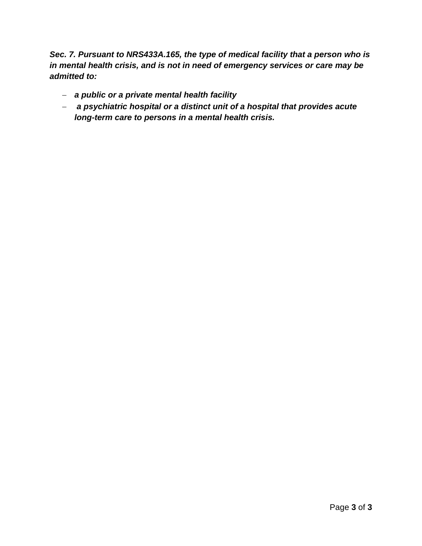*Sec. 7. Pursuant to NRS433A.165, the type of medical facility that a person who is in mental health crisis, and is not in need of emergency services or care may be admitted to:*

- − *a public or a private mental health facility*
- − *a psychiatric hospital or a distinct unit of a hospital that provides acute long-term care to persons in a mental health crisis.*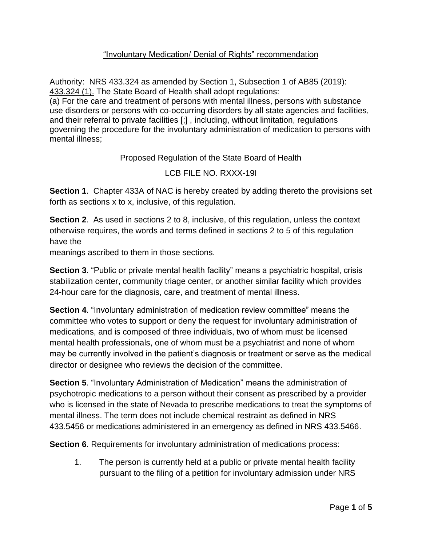# "Involuntary Medication/ Denial of Rights" recommendation

Authority: NRS 433.324 as amended by Section 1, Subsection 1 of AB85 (2019): 433.324 (1). The State Board of Health shall adopt regulations:

(a) For the care and treatment of persons with mental illness, persons with substance use disorders or persons with co-occurring disorders by all state agencies and facilities, and their referral to private facilities [;] , including, without limitation, regulations governing the procedure for the involuntary administration of medication to persons with mental illness;

Proposed Regulation of the State Board of Health

LCB FILE NO. RXXX-19I

**Section 1**. Chapter 433A of NAC is hereby created by adding thereto the provisions set forth as sections x to x, inclusive, of this regulation.

**Section 2.** As used in sections 2 to 8, inclusive, of this regulation, unless the context otherwise requires, the words and terms defined in sections 2 to 5 of this regulation have the

meanings ascribed to them in those sections.

**Section 3**. "Public or private mental health facility" means a psychiatric hospital, crisis stabilization center, community triage center, or another similar facility which provides 24-hour care for the diagnosis, care, and treatment of mental illness.

**Section 4.** "Involuntary administration of medication review committee" means the committee who votes to support or deny the request for involuntary administration of medications, and is composed of three individuals, two of whom must be licensed mental health professionals, one of whom must be a psychiatrist and none of whom may be currently involved in the patient's diagnosis or treatment or serve as the medical director or designee who reviews the decision of the committee.

**Section 5**. "Involuntary Administration of Medication" means the administration of psychotropic medications to a person without their consent as prescribed by a provider who is licensed in the state of Nevada to prescribe medications to treat the symptoms of mental illness. The term does not include chemical restraint as defined in NRS 433.5456 or medications administered in an emergency as defined in NRS 433.5466.

**Section 6**. Requirements for involuntary administration of medications process:

1. The person is currently held at a public or private mental health facility pursuant to the filing of a petition for involuntary admission under NRS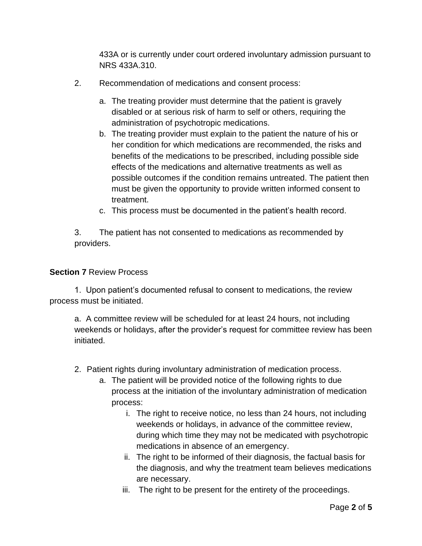433A or is currently under court ordered involuntary admission pursuant to NRS 433A.310.

- 2. Recommendation of medications and consent process:
	- a. The treating provider must determine that the patient is gravely disabled or at serious risk of harm to self or others, requiring the administration of psychotropic medications.
	- b. The treating provider must explain to the patient the nature of his or her condition for which medications are recommended, the risks and benefits of the medications to be prescribed, including possible side effects of the medications and alternative treatments as well as possible outcomes if the condition remains untreated. The patient then must be given the opportunity to provide written informed consent to treatment.
	- c. This process must be documented in the patient's health record.

3. The patient has not consented to medications as recommended by providers.

### **Section 7** Review Process

1. Upon patient's documented refusal to consent to medications, the review process must be initiated.

a. A committee review will be scheduled for at least 24 hours, not including weekends or holidays, after the provider's request for committee review has been initiated.

- 2. Patient rights during involuntary administration of medication process.
	- a. The patient will be provided notice of the following rights to due process at the initiation of the involuntary administration of medication process:
		- i. The right to receive notice, no less than 24 hours, not including weekends or holidays, in advance of the committee review, during which time they may not be medicated with psychotropic medications in absence of an emergency.
		- ii. The right to be informed of their diagnosis, the factual basis for the diagnosis, and why the treatment team believes medications are necessary.
		- iii. The right to be present for the entirety of the proceedings.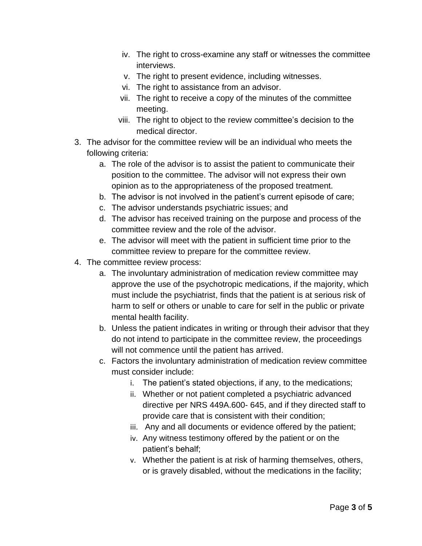- iv. The right to cross-examine any staff or witnesses the committee interviews.
- v. The right to present evidence, including witnesses.
- vi. The right to assistance from an advisor.
- vii. The right to receive a copy of the minutes of the committee meeting.
- viii. The right to object to the review committee's decision to the medical director.
- 3. The advisor for the committee review will be an individual who meets the following criteria:
	- a. The role of the advisor is to assist the patient to communicate their position to the committee. The advisor will not express their own opinion as to the appropriateness of the proposed treatment.
	- b. The advisor is not involved in the patient's current episode of care;
	- c. The advisor understands psychiatric issues; and
	- d. The advisor has received training on the purpose and process of the committee review and the role of the advisor.
	- e. The advisor will meet with the patient in sufficient time prior to the committee review to prepare for the committee review.
- 4. The committee review process:
	- a. The involuntary administration of medication review committee may approve the use of the psychotropic medications, if the majority, which must include the psychiatrist, finds that the patient is at serious risk of harm to self or others or unable to care for self in the public or private mental health facility.
	- b. Unless the patient indicates in writing or through their advisor that they do not intend to participate in the committee review, the proceedings will not commence until the patient has arrived.
	- c. Factors the involuntary administration of medication review committee must consider include:
		- i. The patient's stated objections, if any, to the medications;
		- ii. Whether or not patient completed a psychiatric advanced directive per NRS 449A.600- 645, and if they directed staff to provide care that is consistent with their condition;
		- iii. Any and all documents or evidence offered by the patient;
		- iv. Any witness testimony offered by the patient or on the patient's behalf;
		- v. Whether the patient is at risk of harming themselves, others, or is gravely disabled, without the medications in the facility;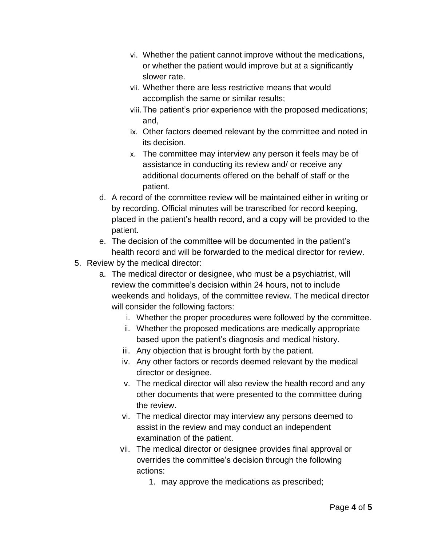- vi. Whether the patient cannot improve without the medications, or whether the patient would improve but at a significantly slower rate.
- vii. Whether there are less restrictive means that would accomplish the same or similar results;
- viii.The patient's prior experience with the proposed medications; and,
- ix. Other factors deemed relevant by the committee and noted in its decision.
- x. The committee may interview any person it feels may be of assistance in conducting its review and/ or receive any additional documents offered on the behalf of staff or the patient.
- d. A record of the committee review will be maintained either in writing or by recording. Official minutes will be transcribed for record keeping, placed in the patient's health record, and a copy will be provided to the patient.
- e. The decision of the committee will be documented in the patient's health record and will be forwarded to the medical director for review.
- 5. Review by the medical director:
	- a. The medical director or designee, who must be a psychiatrist, will review the committee's decision within 24 hours, not to include weekends and holidays, of the committee review. The medical director will consider the following factors:
		- i. Whether the proper procedures were followed by the committee.
		- ii. Whether the proposed medications are medically appropriate based upon the patient's diagnosis and medical history.
		- iii. Any objection that is brought forth by the patient.
		- iv. Any other factors or records deemed relevant by the medical director or designee.
		- v. The medical director will also review the health record and any other documents that were presented to the committee during the review.
		- vi. The medical director may interview any persons deemed to assist in the review and may conduct an independent examination of the patient.
		- vii. The medical director or designee provides final approval or overrides the committee's decision through the following actions:
			- 1. may approve the medications as prescribed;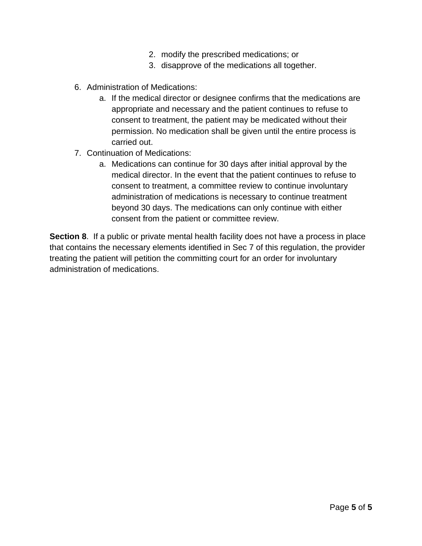- 2. modify the prescribed medications; or
- 3. disapprove of the medications all together.
- 6. Administration of Medications:
	- a. If the medical director or designee confirms that the medications are appropriate and necessary and the patient continues to refuse to consent to treatment, the patient may be medicated without their permission. No medication shall be given until the entire process is carried out.
- 7. Continuation of Medications:
	- a. Medications can continue for 30 days after initial approval by the medical director. In the event that the patient continues to refuse to consent to treatment, a committee review to continue involuntary administration of medications is necessary to continue treatment beyond 30 days. The medications can only continue with either consent from the patient or committee review.

**Section 8**. If a public or private mental health facility does not have a process in place that contains the necessary elements identified in Sec 7 of this regulation, the provider treating the patient will petition the committing court for an order for involuntary administration of medications.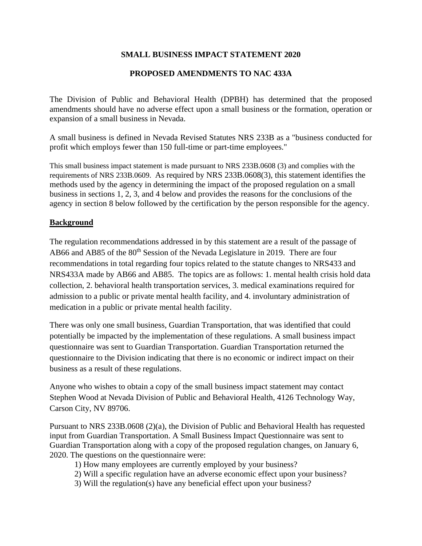### **SMALL BUSINESS IMPACT STATEMENT 2020**

### **PROPOSED AMENDMENTS TO NAC 433A**

The Division of Public and Behavioral Health (DPBH) has determined that the proposed amendments should have no adverse effect upon a small business or the formation, operation or expansion of a small business in Nevada.

A small business is defined in Nevada Revised Statutes NRS 233B as a "business conducted for profit which employs fewer than 150 full-time or part-time employees."

This small business impact statement is made pursuant to NRS 233B.0608 (3) and complies with the requirements of NRS 233B.0609. As required by NRS 233B.0608(3), this statement identifies the methods used by the agency in determining the impact of the proposed regulation on a small business in sections 1, 2, 3, and 4 below and provides the reasons for the conclusions of the agency in section 8 below followed by the certification by the person responsible for the agency.

### **Background**

The regulation recommendations addressed in by this statement are a result of the passage of AB66 and AB85 of the 80<sup>th</sup> Session of the Nevada Legislature in 2019. There are four recommendations in total regarding four topics related to the statute changes to NRS433 and NRS433A made by AB66 and AB85. The topics are as follows: 1. mental health crisis hold data collection, 2. behavioral health transportation services, 3. medical examinations required for admission to a public or private mental health facility, and 4. involuntary administration of medication in a public or private mental health facility.

There was only one small business, Guardian Transportation, that was identified that could potentially be impacted by the implementation of these regulations. A small business impact questionnaire was sent to Guardian Transportation. Guardian Transportation returned the questionnaire to the Division indicating that there is no economic or indirect impact on their business as a result of these regulations.

Anyone who wishes to obtain a copy of the small business impact statement may contact Stephen Wood at Nevada Division of Public and Behavioral Health, 4126 Technology Way, Carson City, NV 89706.

Pursuant to NRS 233B.0608 (2)(a), the Division of Public and Behavioral Health has requested input from Guardian Transportation. A Small Business Impact Questionnaire was sent to Guardian Transportation along with a copy of the proposed regulation changes, on January 6, 2020. The questions on the questionnaire were:

- 1) How many employees are currently employed by your business?
- 2) Will a specific regulation have an adverse economic effect upon your business?
- 3) Will the regulation(s) have any beneficial effect upon your business?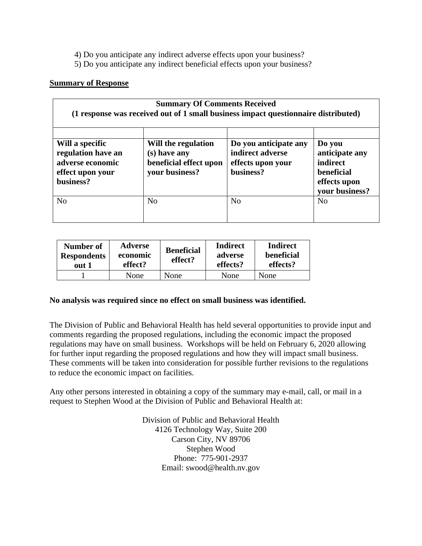4) Do you anticipate any indirect adverse effects upon your business?

5) Do you anticipate any indirect beneficial effects upon your business?

#### **Summary of Response**

| <b>Summary Of Comments Received</b><br>(1 response was received out of 1 small business impact questionnaire distributed) |                                                                                 |                                                                             |                                                                                             |  |  |
|---------------------------------------------------------------------------------------------------------------------------|---------------------------------------------------------------------------------|-----------------------------------------------------------------------------|---------------------------------------------------------------------------------------------|--|--|
| Will a specific<br>regulation have an<br>adverse economic<br>effect upon your<br>business?                                | Will the regulation<br>(s) have any<br>beneficial effect upon<br>your business? | Do you anticipate any<br>indirect adverse<br>effects upon your<br>business? | Do you<br>anticipate any<br>indirect<br><b>beneficial</b><br>effects upon<br>your business? |  |  |
| No                                                                                                                        | No                                                                              | N <sub>0</sub>                                                              | N <sub>0</sub>                                                                              |  |  |

| Number of<br><b>Respondents</b><br>out 1 | <b>Adverse</b><br>economic<br>effect? | <b>Beneficial</b><br>effect? | Indirect<br>adverse<br>effects? | <b>Indirect</b><br>beneficial<br>effects? |
|------------------------------------------|---------------------------------------|------------------------------|---------------------------------|-------------------------------------------|
|                                          | None                                  | None                         | None                            | None                                      |

### **No analysis was required since no effect on small business was identified.**

The Division of Public and Behavioral Health has held several opportunities to provide input and comments regarding the proposed regulations, including the economic impact the proposed regulations may have on small business. Workshops will be held on February 6, 2020 allowing for further input regarding the proposed regulations and how they will impact small business. These comments will be taken into consideration for possible further revisions to the regulations to reduce the economic impact on facilities.

Any other persons interested in obtaining a copy of the summary may e-mail, call, or mail in a request to Stephen Wood at the Division of Public and Behavioral Health at:

> Division of Public and Behavioral Health 4126 Technology Way, Suite 200 Carson City, NV 89706 Stephen Wood Phone: 775-901-2937 Email: swood@health.nv.gov